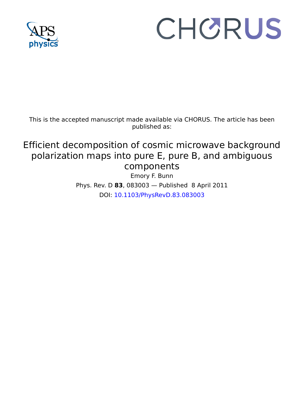

# CHORUS

This is the accepted manuscript made available via CHORUS. The article has been published as:

## Efficient decomposition of cosmic microwave background polarization maps into pure E, pure B, and ambiguous components

Emory F. Bunn Phys. Rev. D **83**, 083003 — Published 8 April 2011 DOI: [10.1103/PhysRevD.83.083003](http://dx.doi.org/10.1103/PhysRevD.83.083003)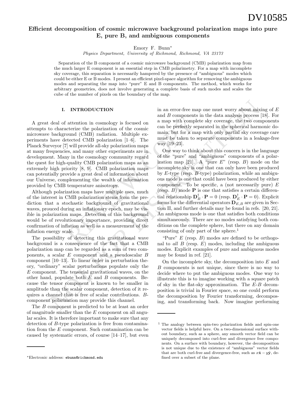### Efficient decomposition of cosmic microwave background polarization maps into pure E, pure B, and ambiguous components

Emory F. Bunn<sup>∗</sup>

Physics Department, University of Richmond, Richmond, VA 23173

Separation of the B component of a cosmic microwave background (CMB) polarization map from the much larger E component is an essential step in CMB polarimetry. For a map with incomplete sky coverage, this separation is necessarily hampered by the presence of "ambiguous" modes which could be either E or B modes. I present an efficient pixel-space algorithm for removing the ambiguous modes and separating the map into "pure" E and B components. The method, which works for arbitrary geometries, does not involve generating a complete basis of such modes and scales the cube of the number of pixels on the boundary of the map.

#### I. INTRODUCTION

attention in cosmology is focused on a map with complete<br>cterize the polarization of the cosmic can be perfectly separated CMB polarization. Multiple ex-<br>main, but for a map setected CMB polarization. Multiple ex-<br>main, b A great deal of attention in cosmology is focused on attempts to characterize the polarization of the cosmic microwave background (CMB) radiation. Multiple experiments have detected CMB polarization [1–6]. The Planck Surveyor [7] will provide all-sky polarization maps at many frequencies, and many other experiments are in development. Many in the cosmology community regard the quest for high-quality CMB polarization maps as an extremely high priority [8, 9]. CMB polarization maps can potentially provide a great deal of information about our Universe, complementing the wealth of information provided by CMB temperature anisotropy.

Although polarization maps have multiple uses, much of the interest in CMB polarization stems from the prediction that a stochastic background of gravitational waves, prouced during an inflationary epoch, may be visible in polarization maps. Detection of this background would be of revolutionary importance, providing direct confirmation of inflation as well as a measurement of the inflation energy scale.

The possibility of detecting this gravitational wave background is a consequence of the fact that a CMB polarization map can be regarded as a sum of two components, a scalar E component and a pseudoscalar B component [10–13]. To linear order in perturbation theory, "ordinary" scalar perturbations populate only the  $E$  component. The tensorial gravitational waves, on the other hand, populate both  $E$  and  $B$  components. Because the tensor component is known to be smaller in amplitude than the scalar component, detection of it requires a channel that is free of scalar contributions. Bcomponent polarization may provide this channel.

The B component is predicted to be at least an order of magnitude smaller than the  $E$  component on all angular scales. It is therefore important to make sure that any detection of B-type polarization is free from contamination from the E component. Such contamination can be caused by systematic errors, of course [14–17], but even

in an error-free map one must worry about mixing of  $E$ and B components in the data analysis process [18]. For a map with complete sky coverage, the two components can be perfectly separated in the spherical harmonic domain, but for a map with only partial sky coverage care must be taken to separate components in a leakage-free way [19–23].

I. INTRODUCTION in an error-free map one must vorry shout mixing and of attention in cosmology is focused on a map with complex exc coverage, the two complex of the complex correlation of the commit by perpendent (CMB pol One way to think about this concern is in the language of the "pure" and "ambiguous" components of a polarization map [21]. A "pure  $E$ " (resp. B) mode on the incomplete sky is one that can only have been produced by E-type (resp. B-type) polarization, while an ambiguous mode is one that could have been produced by either component. To be specific, a (not necessarily pure)  $E$ (resp.  $B$ ) mode  $P$  is one that satisfies a certain differential relationship  $\mathbf{D}_{B}^{\dagger} \cdot \mathbf{P} = 0$  (resp.  $\mathbf{D}_{E}^{\dagger} \cdot \mathbf{P} = 0$ ). Explicit forms for the differential operators  ${\bf D}_{E,B}$  are given in Section II, and further details may be found in refs. [20, 21]. An ambiguous mode is one that satisfies both conditions simultaneously. There are no modes satisfying both conditions on the complete sphere, but there on any domain consisting of only part of the sphere.<sup>1</sup>

"Pure"  $E$  (resp.  $B$ ) modes are defined to be orthogonal to *all B* (resp.  $E$ ) modes, including the ambiguous modes. Explicit examples of pure and ambiguous modes may be found in ref. [21].

On the incomplete sky, the decomposition into  $E$  and B components is not unique, since there is no way to decide where to put the ambiguous modes. One way to illustrate this is to imagine working with a square patch of sky in the flat-sky approximation. The E-B decomposition is trivial in Fourier space, so one could perform the decomposition by Fourier transforming, decomposing, and transforming back. Now imagine performing

<sup>∗</sup>Electronic address: ebunn@richmond.edu

<sup>1</sup> The analogy between spin-two polarization fields and spin-one vector fields is helpful here. On a two-dimensional surface without boundary, such as a sphere, any smooth vector field can be uniquely decomposed into curl-free and divergence free components. On a surface with boundary, however, the decomposition is not unique due to the existence of "ambiguous" vector fields that are both curl-free and divergence-free, such as  $x\hat{x} - y\hat{y}$ , defined over a subset of the plane.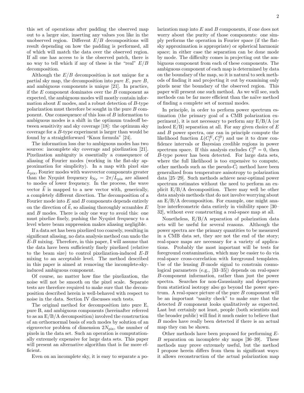this set of operations after padding the observed map out to a larger size, inserting any values you like in the unobserved region. Different  $E/B$  decompositions will result depending on how the padding is performed, all of which will match the data over the observed region. If all one has access to is the observed patch, there is no way to tell which if any of these is the "real"  $E/B$ decomposition.

Although the  $E/B$  decomposition is not unique for a partial sky map, the decomposition into pure  $E$ , pure  $B$ , and ambiguous components is unique [21]. In practice, if the  $E$  component dominates over the  $B$  component as expected, the ambiguous modes will mostly contain information about  $E$  modes, and a robust detection of  $B$ -type polarization must therefore be sought in the pure  $B$  component. One consequence of this loss of B information to ambiguous modes is a shift in the optimum tradeoff between sensitivity and sky coverage [18]: the optimum sky coverage for a B-type experiment is larger than would be found by a straightforward "Knox formula" [24].

The information loss due to ambiguous modes has two sources: incomplete sky coverage and pixelization [21]. Pixelization ambiguity is essentially a consequence of aliasing of Fourier modes (working in the flat-sky approximation for simplicity). In a map with pixel size  $L_{\text{pix}}$ , Fourier modes with wavevector components greater than the Nyquist frequency  $k_{\text{Ny}} = 2\pi/L_{\text{pix}}$  are aliased to modes of lower frequency. In the process, the wave vector  $\vec{k}$  is mapped to a new vector with, generically, a completely different direction. The decomposition of a Fourier mode into  $E$  and  $B$  components depends entirely on the direction of  $\vec{k}$ , so aliasing thoroughly scrambles E and B modes. There is only one way to avoid this: one must pixelize finely, pushing the Nyquist frequency to a level where beam suppression makes aliasing negligible.

If a data set has been pixelized too coarsely, resulting in significant aliasing, no data analysis method can undo the E-B mixing. Therefore, in this paper, I will assume that the data have been sufficiently finely pixelized (relative to the beam size) to control pixelization-induced  $E-B$ mixing to an acceptable level. The method described in this paper is aimed at removing the incomplete-skyinduced ambiguous component.

Of course, no matter how fine the pixelization, the noise will not be smooth on the pixel scale. Separate tests are therefore required to make sure that the decomposition described herein is well-behaved with respect to noise in the data. Section IV discusses such tests.

The original method for decomposition into pure E, pure B, and ambiguous components (hereinafter referred to as an  $E/B/A$  decomposition) involved the construction of an orthornormal basis of such modes by solution of an eigenvector problem of dimension  $2N_{\text{pix}}$ , the number of pixels in the data set. Such an operation is computationally extremely expensive for large data sets. This paper will present an alternative algorithm that is far more efficient.

Even on an incomplete sky, it is easy to separate a po-

larization map into  $E$  and  $B$  components, if one does not worry about the purity of those components: one simply performs the operation in Fourier space (if the flatsky approximation is appropriate) or spherical harmonic space; in either case the separation can be done mode by mode. The difficulty comes in projecting out the ambiguous component from each of these components. The ambiguous component of each map is determined by data on the boundary of the map, so it is natural to seek methods of finding it and projecting it out by examining only pixels near the boundary of the observed region. This paper will present one such method. As we will see, such methods can be far more efficient than the naïve method of finding a complete set of normal modes.

In principle, in order to perform power spectrum estimation (the primary goal of a CMB polarization experiment), it is not necessary to perform any  $E/B/A$  (or indeed  $E/B$ ) separation at all. For any given choice of E and B power spectra, one can in principle compute the likelihood function  $L(C_l^E, C_l^B)$  and use it to draw confidence intervals or Bayesian credible regions in power spectrum space. If this analysis excludes  $C_l^B = 0$ , then B-type power has been detected. For large data sets, where the full likelihood is too expensive to compute, other methods such as the pseudo- $C_l$  method have been generalized from temperature anisotropy to polarization data [25–29]. Such methods achieve near-optimal power spectrum estimates without the need to perform an explicit  $E/B/A$  decomposition. There may well be other data analysis methods that do not involve worrying about an  $E/B/A$  decomposition. For example, one might analyze interferometric data entirely in visibility space [30– 32], without ever constructing a real-space map at all.

Nonetheless, E/B/A separation of polarization data sets will be useful for several reasons. Although the power spectra are the primary quantities to be measured in a CMB data set, they are not the end of the story; real-space maps are necessary for a variety of applications. Probably the most important will be tests for foreground contamination, which may be easier to do via real-space cross-correlation with foreground templates. Use of the lensing B-mode signal to constrain cosmological parameters (e.g., [33–35]) depends on real-space B-component information, rather than just the power spectra. Searches for non-Gaussianity and departures from statistical isotropy also go beyond the power spectrum. A real-space picture of the pure  $B$  component will be an important "sanity check" to make sure that the detected B component looks qualitatively as expected. Last but certainly not least, people (both scientists and the broader public) will find it much easier to believe that B modes have really been detected if there is an actual map they can be shown.

Other methods have been proposed for performing E-B separation on incomplete sky maps [36–39]. These methods may prove extremely useful, but the method I propose herein differs from them in significant ways: it allows reconstruction of the actual polarization map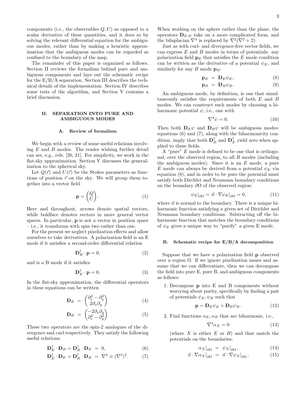components (i.e., the observables  $Q, U$ ) as opposed to a scalar derivative of these quantities, and it does so by solving the relevant differential equation for the ambiguous modes, rather than by making a heuristic approximation that the ambiguous modes can be regarded as confined to the boundary of the map.

The remainder of this paper is organized as follows. Section II reviews the formalism behind pure and ambiguous components and lays out the schematic recipe for the  $E/B/A$  separation. Section III describes the technical details of the implementation. Section IV describes some tests of the algorithm, and Section V contains a brief discussion.

#### II. SEPARATION INTO PURE AND AMBIGUOUS MODES

#### A. Review of formalism

We begin with a review of some useful relations involving  $E$  and  $B$  modes. The reader wishing further detail can see, e.g., refs. [20, 21]. For simplicity, we work in the flat-sky approximation. Section V discusses the generalization to the spherical sky.

Let  $Q(\vec{r})$  and  $U(\vec{r})$  be the Stokes parameters as functions of position  $\vec{r}$  on the sky. We will group them together into a vector field

$$
\mathbf{p} = \begin{pmatrix} Q \\ U \end{pmatrix} . \tag{1}
$$

Here and throughout, arrows denote spatial vectors, while boldface denotes vectors in more general vector spaces. In particular, p is not a vector in position space – i.e., it transforms with spin two rather than one.

For the present we neglect pixelization effects and allow ourselves to take derivatives. A polarization field is an E mode if it satisfies a second-order differential relation

$$
\mathbf{D}_{B}^{\dagger} \cdot \mathbf{p} = 0,\tag{2}
$$

and is a B mode if it satisfies

$$
\mathbf{D}_E^{\dagger} \cdot \mathbf{p} = 0. \tag{3}
$$

In the flat-sky approximation, the differential operators in these equations can be written

$$
\mathbf{D}_E = \begin{pmatrix} \partial_x^2 - \partial_y^2 \\ 2\partial_x \partial_y \end{pmatrix} \tag{4}
$$

$$
\mathbf{D}_B = \begin{pmatrix} -2\partial_x \partial_y \\ \partial_x^2 - \partial_y^2 \end{pmatrix} \tag{5}
$$

These two operators are the spin-2 analogues of the divergence and curl respectively. They satisfy the following useful relations:

$$
\mathbf{D}_{E}^{\dagger} \cdot \mathbf{D}_{B} = \mathbf{D}_{B}^{\dagger} \cdot \mathbf{D}_{E} = 0, \tag{6}
$$

$$
\mathbf{D}_{E}^{\dagger} \cdot \mathbf{D}_{E} = \mathbf{D}_{B}^{\dagger} \cdot \mathbf{D}_{B} = \nabla^{4} \equiv (\nabla^{2})^{2}.
$$
 (7)

When working on the sphere rather than the plane, the operators  $\mathbf{D}_{E,B}$  take on a more complicated form, and the bilaplacian  $\nabla^4$  is replaced by  $\nabla^2(\nabla^2 + 2)$ .

Just as with curl- and divergence-free vector fields, we can express  $E$  and  $B$  modes in terms of potentials: any polarization field  $\mathbf{p}_E$  that satisfies the E mode condition can be written as the derivative of a potential  $\psi_E$ , and similarly for any B mode  $\mathbf{p}_B$ :

$$
\mathbf{p}_E = \mathbf{D}_E \psi_E, \tag{8}
$$

$$
\mathbf{p}_B = \mathbf{D}_B \psi_B. \tag{9}
$$

An ambiguous mode, by definition, is one that simultaneously satisfies the requirements of both E and B modes. We can construct such modes by choosing a biharmonic potential  $\psi$ , i.e., one with

$$
\nabla^4 \psi = 0. \tag{10}
$$

Then both  $\mathbf{D}_E \psi$  and  $\mathbf{D}_B \psi$  will be ambiguous modes: equations (6) and (7), along with the biharmonicity condition, imply that both  $\mathbf{D}_{B}^{\dagger}$  and  $\mathbf{D}_{E}^{\dagger}$  yield zero when applied to these fields.

A "pure" E mode is defined to be one that is orthogonal, over the observed region, to all B modes (including the ambiguous modes). Since it is an  $E$  mode, a pure E mode can always be derived from a potential  $\psi_E$  via equation (8), and in order to be pure the potential must satisfy both Dirchlet and Neumann boundary conditions on the boundary  $\partial\Omega$  of the observed region:

$$
\psi_E|_{\partial\Omega} = \vec{n} \cdot \nabla \psi_E|_{\partial\Omega} = 0,\tag{11}
$$

where  $\vec{n}$  is normal to the boundary. There is a unique biharmonic function satisfying a given set of Dirichlet and Neumann boundary conditions. Subtracting off the biharmonic function that matches the boundary conditions of  $\psi_E$  gives a unique way to "purify" a given E mode.

#### B. Schematic recipe for E/B/A decomposition

Suppose that we have a polarization field p observed over a region Ω. If we ignore pixelization issues and assume that we can differentiate, then we can decompose the field into pure E, pure B, and ambiguous components as follows:

1. Decompose p into E and B components without worrying about purity, specifically by finding a pair of potentials  $\psi_E, \psi_B$  such that

$$
\mathbf{p} = \mathbf{D}_E \psi_E + \mathbf{D}_B \psi_B. \tag{12}
$$

2. Find functions  $\alpha_E, \alpha_B$  that are biharmonic, i.e.,

$$
\nabla^4 \alpha_X = 0 \tag{13}
$$

(where  $X$  is either  $E$  or  $B$ ) and that match the potentials on the boundaries:

$$
\alpha_X|_{\partial\Omega} = \psi_X|_{\partial\Omega},\tag{14}
$$

$$
\vec{n} \cdot \nabla \alpha_X|_{\partial \Omega} = \vec{n} \cdot \nabla \psi_X|_{\partial \Omega}.
$$
 (15)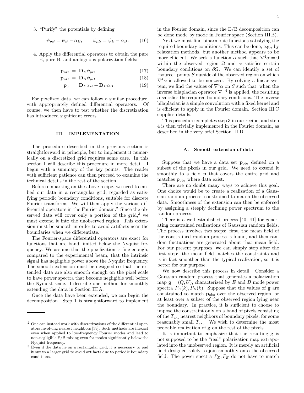3. "Purify" the potentials by defining

$$
\psi_{pE} = \psi_E - \alpha_E, \qquad \psi_{pB} = \psi_B - \alpha_B. \tag{16}
$$

4. Apply the differential operators to obtain the pure E, pure B, and ambiguous polarization fields:

$$
\mathbf{p}_{pE} = \mathbf{D}_E \psi_{pE} \tag{17}
$$

$$
\mathbf{p}_{pB} = \mathbf{D}_B \psi_{pB} \tag{18}
$$

$$
\mathbf{p}_a = \mathbf{D}_E \alpha_E + \mathbf{D}_B \alpha_B. \tag{19}
$$

For pixelized data, we can follow a similar procedure, with appropriately defined differential operators. course, we then have to test whether the discretization has introduced significant errors.

#### III. IMPLEMENTATION

The procedure described in the previous section is straightforward in principle, but to implement it numerically on a discretized grid requires some care. In this section I will describe this procedure in more detail. I begin with a summary of the key points. The reader with sufficient patience can then proceed to examine the technical details in the rest of the section.

Before embarking on the above recipe, we need to embed our data in a rectangular grid, regarded as satisfying periodic boundary conditions, suitable for discrete Fourier transforms. We will then apply the various differential operators in the Fourier domain.<sup>2</sup> Since the observed data will cover only a portion of the grid,<sup>3</sup> we must extend it into the unobserved region. This extension must be smooth in order to avoid artifacts near the boundaries when we differentiate.

The Fourier-space differential operators are exact for functions that are band limited below the Nyquist frequency. We assume that the pixelization is fine enough, compared to the experimental beam, that the intrinsic signal has negligible power above the Nyquist frequency. The smooth extension must be designed so that the extended data are also smooth enough on the pixel scale to have power spectra that become negligible well before the Nyquist scale. I describe one method for smoothly extending the data in Section III A.

Once the data have been extended, we can begin the decomposition. Step 1 is straightforward to implement in the Fourier domain, since the E/B decomposition can be done mode by mode in Fourier space (Section III B).

Next we must find biharmonic functions satisfying the required boundary conditions. This can be done, e.g., by relaxation methods, but another method appears to be more efficient. We seek a function  $\alpha$  such that  $\nabla^4 \alpha = 0$ within the observed region  $\Omega$  and  $\alpha$  satisfies certain boundary conditions on  $\partial\Omega$ . We can identify a set of "source" points  $S$  outside of the observed region on which  $\nabla^4\alpha$  is allowed to be nonzero. By solving a linear system, we find the values of  $\nabla^4 \alpha$  on S such that, when the inverse bilaplacian operator  $\nabla^{-4}$  is applied, the resulting  $\alpha$  satisfies the required boundary conditions. The inverse bilaplacian is a simple convolution with a fixed kernel and is efficient to apply in the Fourier domain. Section III C supplies details.

This procedure completes step 3 in our recipe, and step 4 is then trivially implemented in the Fourier domain, as described in the very brief Section III D.

#### A. Smooth extension of data

Suppose that we have a data set  $p_{obs}$  defined on a subset of the pixels in our grid. We need to extend it smoothly to a field p that covers the entire grid and matches  $p_{obs}$  where data exist.

There are no doubt many ways to achieve this goal. One choice would be to create a realization of a Gaussian random process, constrained to match the observed data. Smoothness of the extension can then be enforced by assigning a steeply declining power spectrum to the random process.

There is a well-established process [40, 41] for generating constrained realizations of Gaussian random fields. The process involves two steps: first, the mean field of the constrained random process is found, and then random fluctuations are generated about that mean field. For our present purposes, we can simply stop after the first step: the mean field matches the constraints and is in fact smoother than the typical realization, so it is better for our purpose.

We now describe this process in detail. Consider a Gaussian random process that generates a polarization map  $\mathbf{g} = (Q, U)$ , characterized by E and B mode power spectra  $P_E(k)$ ,  $P_B(k)$ . Suppose that the values of **g** are constrained to match pobs over the observed region, or at least over a subset of the observed region lying near the boundary. In practice, it is sufficient to choose to impose the constraint only on a band of pixels consisting of the  $T_{\text{ext}}$  nearest neighbors of boundary pixels, for some reasonably small  $T_{\rm ext}.$  We wish to determine the most probable realization of g on the rest of the pixels.

It is important to emphasize that the resulting g is not supposed to be the "real" polarization map extrapolated into the unobserved region. It is merely an artificial field designed solely to join smoothly onto the observed field. The power spectra  $P_E, P_B$  do not have to match

<sup>2</sup> One can instead work with discretizations of the differential operators involving nearest neighbors [39]. Such methods are inexact even when applied to low-frequency Fourier modes and lead to non-negligible E/B mixing even for modes significantly below the Nyquist frequency.

 $3$  Even if the data lie on a rectangular grid, it is necessary to pad it out to a larger grid to avoid artifacts due to periodic boundary conditions.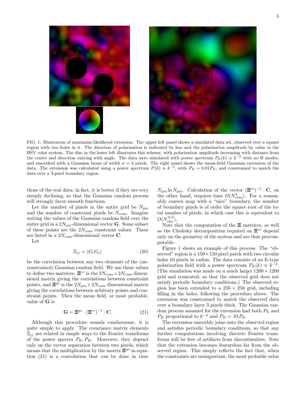



FIG. 1: Illustration of maximum-likelihood extension. The upper left panel shows a simulated data set, observed over a square region with two holes in it. The direction of polarization is indicated by hue and the polarization amplitude by value in the HSV color system. The disc in the lower left illustrates this scheme, with polarization amplitude increasing with distance from the center and direction varying with angle. The data were simulated with power spectrum  $P_E(k) \propto k^{-2}$  with no B modes, and smoothed with a Gaussian beam of width  $\sigma = 4$  pixels. The right panel shows the mean-field Gaussian extension of the data. The extension was calculated using a power spectrum  $P(k) \propto k^{-4}$ , with  $P_B = 0.01 P_E$ , and constrained to match the data over a 3-pixel boundary region.

those of the real data; in fact, it is better if they are very steeply declining, so that the Gaussian random process will strongly favor smooth functions.

Let the number of pixels in the entire grid be  $N_{\text{pix}}$ and the number of constraint pixels be  $N_{\text{cons}}$ . Imagine writing the values of the Gaussian random field over the entire grid in a  $2N_{\text{pix}}$ -dimensional vector **G**. Some subset of these points are the  $2N_{\text{cons}}$  constraint values. These are listed in a  $2N_{\text{cons}}$ -dimensional vector **C**.

Let

$$
\Xi_{ij} = \langle G_i G_j \rangle \tag{20}
$$

be the correlation between any two elements of the (unconstrained) Gaussian random field. We use these values to define two matrices:  $\Xi^{cc}$  is the  $2N_{\text{cons}} \times 2N_{\text{cons}}$  dimensional matrix giving the correlations between constraint points, and  $\Xi^{gc}$  is the  $2N_{\text{pix}} \times 2N_{\text{cons}}$  dimensional matrix giving the correlations between arbitrary points and constraint points. Then the mean field, or most probable, value of G is

$$
\mathbf{G} = \mathbf{\Xi}^{gc} \cdot (\mathbf{\Xi}^{cc})^{-1} \cdot \mathbf{C}.
$$
 (21)

Although this procedure sounds cumbersome, it is quite simple to apply. The covariance matrix elements  $\Xi_{ij}$  are related in simple ways to the Fourier transforms of the power spectra  $P_E, P_B$ . Moreover, they depend only on the vector separation between two pixels, which means that the multiplication by the matrix  $\Xi^{gc}$  in equation (21) is a convolution that can be done in time

 $N_{\text{pix}}$  ln  $N_{\text{pix}}$ . Calculation of the vector  $(\mathbf{\Xi}^{cc})^{-1} \cdot \mathbf{C}$ , on the other hand, requires time  $O(N_{\text{cons}}^3)$ . For a reasonably convex map with a "nice" boundary, the number of boundary pixels is of order the square root of the total number of pixels, in which case this is equivalent to  $O(N_{\rm obs}^{3/2})$ .

Note that the computation of the  $\Xi$  matrices, as well as the Cholesky decomposition required on  $\Xi^{cc}$  depend only on the geometry of the system and are thus precomputable.

Figure 1 shows an example of this process. The "observed" region is a  $150 \times 150$  pixel patch with two circular holes 10 pixels in radius. The data consists of an E-type polarization field with a power spectrum  $P_E(k) \propto k^{-2}$ . (The simulation was made on a much larger  $1200 \times 1200$ ) grid and truncated, so that the observed grid does not satisfy periodic boundary conditions.) The observed region has been extended to a  $256 \times 256$  grid, including filling in the holes, following the procedure above. The extension was constrained to match the observed data over a boundary layer 3 pixels thick. The Gaussian random process assumed for the extension had both  $P_E$  and  $P_B$  proportional to  $k^{-4}$  and  $P_B = .01 P_E$ .

The extension smoothly joins onto the observed region and satisfies periodic boundary conditions, so that any further computations involving discrete Fourier transforms will be free of artifacts from discontinuities. Note that the extension becomes featureless far from the observed region. This simply reflects the fact that, when the constraints are unimportant, the most probable value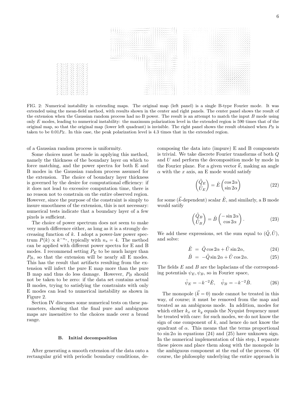

FIG. 2: Numerical instability in extending maps. The original map (left panel) is a single B-type Fourier mode. It was extended using the mean-field method, with results shown in the center and right panels. The center panel shows the result of the extension when the Gaussian random process had no B power. The result is an attempt to match the input B mode using only  $E$  modes, leading to numerical instability: the maximum polarization level in the extended region is 590 times that of the original map, so that the original map (lower left quadrant) is invisible. The right panel shows the result obtained when  $P_B$  is taken to be  $0.01P<sub>E</sub>$ . In this case, the peak polarization level is 4.3 times that in the extended region.

of a Gaussian random process is uniformity.

Some choices must be made in applying this method, namely the thickness of the boundary layer on which to force matching, and the power spectra for both E and B modes in the Gaussian random process assumed for the extension. The choice of boundary layer thickness is governed by the desire for computational efficiency: if it does not lead to excessive computation time, there is no reason not to constrain on the entire observed region. However, since the purpose of the constraint is simply to insure smoothness of the extension, this is not necessary: numerical tests indicate that a boundary layer of a few pixels is sufficient.

The choice of power spectrum does not seem to make very much difference either, as long as it is a strongly decreasing function of  $k$ . I adopt a power-law power spectrum  $P(k) \propto k^{-n_s}$ , typically with  $n_s = 4$ . The method can be applied with different power spectra for E and B modes. I recommend setting  $P_E$  to be much larger than  $P_B$ , so that the extension will be nearly all E modes. This has the result that artifacts resulting from the extension will infect the pure E map more than the pure B map and thus do less damage. However,  $P_B$  should not be taken to be zero: if the data set contains actual B modes, trying to satisfying the constraints with only E modes can lead to numerical instability as shown in Figure 2.

Section IV discusses some numerical tests on these parameters, showing that the final pure and ambiguous maps are insensitive to the choices made over a broad range.

#### B. Initial decomposition

After generating a smooth extension of the data onto a rectangular grid with periodic boundary conditions, decomposing the data into (impure) E and B components is trivial. We take discrete Fourier transforms of both Q and U and perform the decomposition mode by mode in the Fourier plane. For a given vector  $\vec{k}$ , making an angle  $\alpha$  with the x axis, an E mode would satisfy

$$
\begin{pmatrix} \tilde{Q}_E \\ \tilde{U}_E \end{pmatrix} = \tilde{E} \begin{pmatrix} \cos 2\alpha \\ \sin 2\alpha \end{pmatrix}
$$
 (22)

for some ( $\vec{k}$ -dependent) scalar  $\tilde{E}$ , and similarly, a B mode would satify

$$
\begin{pmatrix} \tilde{Q}_B \\ \tilde{U}_B \end{pmatrix} = \tilde{B} \begin{pmatrix} -\sin 2\alpha \\ \cos 2\alpha \end{pmatrix}.
$$
 (23)

We add these expressions, set the sum equal to  $(\tilde{Q}, \tilde{U}),$ and solve:

$$
\tilde{E} = \tilde{Q}\cos 2\alpha + \tilde{U}\sin 2\alpha, \qquad (24)
$$

$$
\tilde{B} = -\tilde{Q}\sin 2\alpha + \tilde{U}\cos 2\alpha.
$$
 (25)

The fields E and B are the laplacians of the corresponding potentials  $\psi_E, \psi_B$ , so in Fourier space,

$$
\tilde{\psi}_E = -k^{-2}\tilde{E}, \quad \tilde{\psi}_B = -k^{-2}\tilde{B}.
$$
\n(26)

The monopole  $(\vec{k} = 0)$  mode cannot be treated in this way, of course; it must be removed from the map and treated as an ambiguous mode. In addition, modes for which either  $k_x$  or  $k_y$  equals the Nyquist frequency must be treated with care: for such modes, we do not know the sign of one component of  $k$ , and hence do not know the quadrant of  $\alpha$ . This means that the terms proportional to sin  $2\alpha$  in equations (24) and (25) have unknown sign. In the numerical implementation of this step, I separate these pieces and place them along with the monopole in the ambiguous component at the end of the process. Of course, the philosophy underlying the entire approach in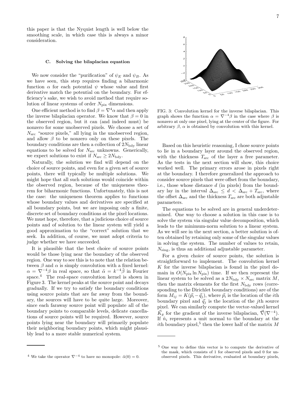this paper is that the Nyquist length is well below the smoothing scale, in which case this is always a minor consideration.

#### C. Solving the bilaplacian equation

We now consider the "purification" of  $\psi_E$  and  $\psi_B$ . As we have seen, this step requires finding a biharmonic function  $\alpha$  for each potential  $\psi$  whose value and first derivative match the potential on the boundary. For efficiency's sake, we wish to avoid method that require solution of linear systems of order  $N_{\text{pix}}$  dimensions.

One efficient method is to find  $\beta = \nabla^4 \alpha$  and then apply the inverse bilaplacian operator. We know that  $\beta = 0$  in the observed region, but it can (and indeed must) be nonzero for some unobserved pixels. We choose a set of  $N<sub>src</sub>$  "source pixels," all lying in the unobserved region, and allow  $\beta$  to be nonzero only on these pixels. The boundary conditions are then a collection of  $2N_{\text{bdy}}$  linear equations to be solved for  $N<sub>src</sub>$  unknowns. Generically, we expect solutions to exist if  $N_{\rm src} \geq 2N_{\rm bdv}$ .

Naturally, the solution we find will depend on the choice of source points, and even for a given set of source points, there will typically be multiple solutions. We might hope that all such solutions would coincide within the observed region, because of the uniqueness theorem for biharmonic functions. Unfortunately, this is not the case: the uniqueness theorem applies to functions whose boundary values and derivatives are specified at all boundary points, but we are imposing only a finite, discrete set of boundary conditions at the pixel locations. We must hope, therefore, that a judicious choice of source points and of solution to the linear system will yield a good approximation to the "correct" solution that we seek. In addition, of course, we must adopt criteria to judge whether we have succeeded.

It is plausible that the best choice of source points would be those lying near the boundary of the observed region. One way to see this is to note that the relation between  $\beta$  and  $\alpha$  is simply convolution with a fixed kernel:  $\alpha = \nabla^{-4} \beta$  in real space, so that  $\tilde{\alpha} = k^{-4} \tilde{\beta}$  in Fourier space.<sup>4</sup> The real-space convolution kernel is shown in Figure 3. The kernel peaks at the source point and decays gradually. If we try to satisfy the boundary conditions using source points that are far away from the boundary, the sources will have to be quite large. Moreover, since each faraway source point will populate all of the boundary points to comparable levels, delicate cancellations of source points will be required. However, source points lying near the boundary will primarily populate their neighboring boundary points, which might plausibly lead to a more stable numerical system.



FIG. 3: Convolution kernel for the inverse bilaplacian. This graph shows the function  $\alpha = \nabla^{-4} \beta$  in the case where  $\beta$  is nonzero at only one pixel, lying at the center of the figure. For arbitrary  $\beta$ ,  $\alpha$  is obtained by convolution with this kernel.

Based on this heuristic reasoning, I chose source points to lie in a boundary layer around the observed region, with the thickness  $T_{\rm src}$  of the layer a free parameter. As the tests in the next section will show, this choice worked well. The primary errors arose in pixels right at the boundary. I therefore generalized the approach to consider source pixels that were offset from the boundary, i.e., those whose distance d (in pixels) from the boundary lay in the interval  $\Delta_{\rm src} \leq d < \Delta_{\rm src} + T_{\rm src}$ , where the offset  $\Delta_{\rm src}$  and the thickness  $T_{\rm src}$  are both adjustable parameters.

The equations to be solved are in general underdetermined. One way to choose a solution in this case is to solve the system via singular value decomposition, which leads to the minimum-norm solution to a linear system. As we will see in the next section, a better solution is often obtained by retaining only some of the singular values in solving the system. The number of values to retain,  $N_{\text{sing}}$ , is thus an additional adjustable parameter.

For a given choice of source points, the solution is straightforward to implement. The convolution kernel K for the inverse bilaplacian is found in the pixel domain in  $O(N_{\text{pix}} \ln N_{\text{pix}})$  time. If we then represent the linear system to be solved as a  $2N_{\text{bdy}} \times N_{\text{src}}$  matrix M, then the matrix elements for the first  $N_{\text{bdy}}$  rows (corresponding to the Dirichlet boundary conditions) are of the form  $M_{ij} = K(\vec{p}_i - \vec{q}_j)$ , where  $\vec{p}_i$  is the location of the *i*th boundary pixel and  $\vec{q}_j$  is the location of the jth source pixel. We can similarly compute the vector-valued kernel  $\vec{K}_g$  for the gradient of the inverse bilaplacian,  $\vec{\nabla}(\nabla^{-4})$ . If  $\hat{n}_i$  represents a unit normal to the boundary at the ith boundary pixel,<sup>5</sup> then the lower half of the matrix  $M$ 

<sup>&</sup>lt;sup>4</sup> We take the operator  $\nabla^{-4}$  to have no monopole:  $\tilde{\alpha}(0) = 0$ .

<sup>5</sup> One way to define this vector is to compute the derivative of the mask, which consists of 1 for observed pixels and 0 for unobserved pixels. This derivative, evaluated at boundary pixels,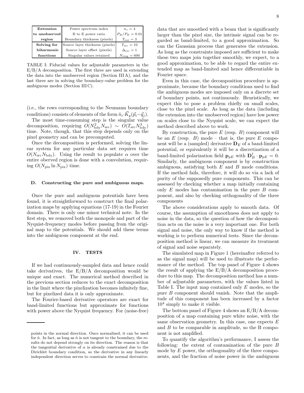| Extension     | Power spectrum index            | $n_s=4$               |  |
|---------------|---------------------------------|-----------------------|--|
| to unobserved | B to E power ratio              | $P_B/P_E = 0.01$      |  |
| region        | Boundary thickness (pixels)     | $T_{\rm ext}=3$       |  |
| Solving for   | Source layer thickness (pixels) | $T_{\rm src} = 10$    |  |
| biharmonic    | Source layer offset (pixels)    | $\Delta_{\rm src}=1$  |  |
| functions     | Singular values retained        | $N_{\text{sing}}=600$ |  |

TABLE I: Fiducial values for adjustable parameters in the  $E/B/A$  decomposition. The first three are used in extending the data into the unobserved region (Section III A), and the last three are in solving the boundary-value problem for the ambiguous modes (Section III C).

(i.e., the rows corresponding to the Neumann boundary conditions) consists of elements of the form  $\hat{n}_i \cdot \vec{K}_g(\vec{p}_i - \vec{q}_j)$ .

The most time-consuming step is the singular value decomposition, requiring  $O(N_{\text{bdy}}^2 N_{\text{src}}) \sim O(T_{\text{src}} N_{\text{bdy}}^3)$ time. Note, though, that this step depends only on the pixel geometry and can be precomputed.

Once the decomposition is performed, solving the linear system for any particular data set requires time  $O(N_{\rm src}N_{\rm bdv})$ . Using the result to populate  $\alpha$  over the entire oberved region is done with a convolution, requiring  $O(N_{\text{pix}} \ln N_{\text{pix}})$  time.

#### D. Constructing the pure and ambiguous maps.

Once the pure and ambiguous potentials have been found, it is straightforward to construct the final polarization maps by applying equations (17-19) in the Fourier domain. There is only one minor technical note. In the first step, we removed both the monopole and part of the Nyquist-frequency modes before passing from the original map to the potentials. We should add these terms into the ambiguous component at the end.

#### IV. TESTS

If we had continuously-sampled data and hence could take derivatives, the  $E/B/A$  decomposition would be unique and exact. The numerical method described in the previous section reduces to the exact decomposition in the limit where the pixelization becomes infinitely fine, but for pixelized data it is only approximate.

The Fourier-based derivative operators are exact for band-limited functions but approximate for functions with power above the Nyquist frequency. For (noise-free) data that are smoothed with a beam that is significantly larger than the pixel size, the intrinsic signal can be regarded as band-limited, to a good approximation. So can the Gaussian process that generates the extension. As long as the constraints imposed are sufficient to make these two maps join together smoothly, we expect, to a good approximation, to be able to regard the entire extended map as band-limited and hence differentiable in Fourier space.

Even in this case, the decomposition procedure is approximate, because the boundary conditions used to find the ambiguous modes are imposed only on a discrete set of boundary points, not continuously. Heuristically, we expect this to pose a problem chiefly on small scales, close to the pixel scale. As long as the data (including the extension into the unobserved region) have low power on scales close to the Nyquist scale, we can expect the method described above to work.

By construction, the pure  $E$  (resp.  $B$ ) component will be an  $E$  (resp.  $B$ ) mode – that is, the pure  $E$  component will be a (sampled) derivative  $\mathbf{D}_E$  of a band-limited potential, or equivalently it will be a discretization of a band-limited polarization field  $\mathbf{p}_{pE}$  with  $\mathbf{D}_{B}^{\dagger} \cdot \mathbf{p}_{pE} = 0$ . Similarly, the ambiguous component is by construction ambiguous, satisfying both E and B mode conditions. If the method fails, therefore, it will do so via a lack of purity of the supposedly pure components. This can be assessed by checking whether a map initially containing only  $E$  modes has contamination in the pure  $B$  component, and also by checking orthogonality of the three components

The above considerations apply to smooth data. Of course, the assumption of smoothness does not apply to noise in the data, so the question of how the decomposition acts on the noise is a very important one. For both signal and noise, the only way to know if the method is working is to perform numerical tests. Since the decomposition method is linear, we can measure its treatment of signal and noise separately.

The simulated map in Figure 1 (hereinafter referred to as the signal map) will be used to illustrate the performance of the method. The top panel of Figure 4 shows the result of applying the E/B/A decomposition procedure to this map. The decomposition method has a number of adjustable parameters, with the values listed in Table I. The input map contained only E modes, so the pure B component should vanish. Note that the amplitude of this component has been increased by a factor 10<sup>4</sup> simply to make it visible.

The bottom panel of Figure 4 shows an E/B/A decomposition of a map containing pure white noise, with the same observation geometry. In this case, one expects  $E$ and  $B$  to be comparable in amplitude, so the B component is not amplified.

To quantify the algorithm's performance, I assess the following: the extent of contamination of the pure B mode by  $E$  power, the orthogonality of the three components, and the fraction of noise power in the ambiguous

points in the normal direction. Once normalized, it can be used for  $\hat{n}$ . In fact, as long as  $\hat{n}$  is not tangent to the boundary, the results do not depend strongly on its direction. The reason is that the tangential derivative of  $\alpha$  is already constrained due to the Dirichlet boundary condition, so the derivative in any linearly independent direction serves to constrain the normal derivative.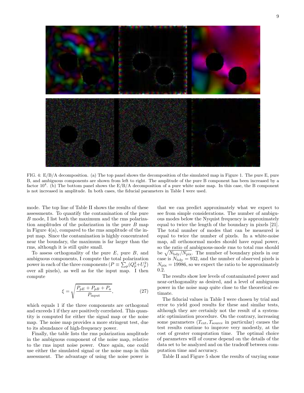

FIG. 4: E/B/A decomposition. (a) The top panel shows the decomposition of the simulated map in Figure 1. The pure E, pure B, and ambiguous components are shown from left to right. The amplitude of the pure B component has been increased by a factor  $10^4$ . (b) The bottom panel shows the E/B/A decomposition of a pure white noise map. In this case, the B component is not increased in amplitude. In both cases, the fiducial parameters in Table I were used.

mode. The top line of Table II shows the results of these assessments. To quantify the contamination of the pure B mode, I list both the maximum and the rms polarization amplitudes of the polarization in the pure  $B$  map in Figure  $4(a)$ , compared to the rms amplitude of the input map. Since the contamination is highly concentrated near the boundary, the maximum is far larger than the rms, although it is still quite small.

To assess orthogonality of the pure  $E$ , pure  $B$ , and ambiguous components, I compute the total polarization power in each of the three components  $(P \equiv \sum_p (Q_p^2 + U_p^2)$ over all pixels), as well as for the input map. I then compute

$$
\xi = \sqrt{\frac{P_{pE} + P_{pB} + P_a}{P_{\text{input}}}},\tag{27}
$$

which equals 1 if the three components are orthogonal and exceeds 1 if they are positively correlated. This quantity is computed for either the signal map or the noise map. The noise map provides a more stringent test, due to its abundance of high-frequency power.

Finally, the table lists the rms polarization amplitude in the ambiguous component of the noise map, relative to the rms input noise power. Once again, one could use either the simulated signal or the noise map in this assessment. The advantage of using the noise power is

that we can predict approximately what we expect to see from simple considerations. The number of ambiguous modes below the Nyquist frequency is approximately equal to twice the length of the boundary in pixels [21]. The total number of modes that can be measured is equal to twice the number of pixels. In a white-noise map, all orthonormal modes should have equal power, so the ratio of ambiguous-mode rms to total rms should be  $\sqrt{N_{\text{bdy}}/N_{\text{pix}}}$ . The number of boundary pixels in our case is  $N_{\text{bdy}} = 932$ , and the number of observed pixels is  $N_{\text{pix}} = 19986$ , so we expect the ratio to be approximately 0.2.

The results show low levels of contaminated power and near-orthogonality as desired, and a level of ambiguous power in the noise map quite close to the theoretical estimate.

The fiducial values in Table I were chosen by trial and error to yield good results for these and similar tests, although they are certainly not the result of a systematic optimization procedure. On the contrary, increasing some parameters  $(T_{\text{ext}}, T_{\text{source}})$  in particular) causes the test results continue to improve very modestly, at the cost of greater computation time. The optimal choice of parameters will of course depend on the details of the data set to be analyzed and on the tradeoff between computation time and accuracy.

Table II and Figure 5 show the results of varying some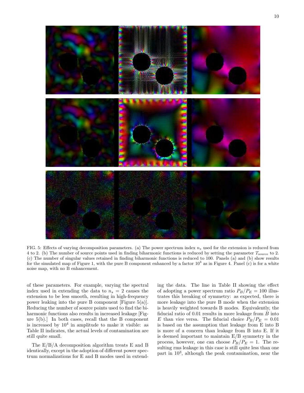

FIG. 5: Effects of varying decomposition parameters. (a) The power spectrum index  $n_s$  used for the extension is reduced from 4 to 2. (b) The number of source points used in finding biharmonic functions is reduced by setting the parameter  $T_{\text{source}}$  to 2. (c) The number of singular values retained in finding biharmonic functions is reduced to 100. Panels (a) and (b) show results for the simulated map of Figure 1, with the pure B component enhanced by a factor  $10^4$  as in Figure 4. Panel (c) is for a white noise map, with no B enhancement.

of these parameters. For example, varying the spectral index used in extending the data to  $n_s = 2$  causes the extension to be less smooth, resulting in high-frequency power leaking into the pure B component [Figure 5(a)]. Reducing the number of source points used to find the biharmonic functions also results in increased leakage [Figure 5(b).] In both cases, recall that the B component is increased by  $10<sup>4</sup>$  in amplitude to make it visible: as Table II indicates, the actual levels of contamination are still quite small.

The E/B/A decomposition algorithm treats E and B identically, except in the adoption of different power spectrum normalizations for E and B modes used in extending the data. The line in Table II showing the effect of adopting a power spectrum ratio  $P_B/P_E = 100$  illustrates this breaking of symmetry: as expected, there is more leakage into the pure B mode when the extension is heavily weighted towards B modes. Equivalently, the fiducial ratio of  $0.01$  results in more leakage from  $B$  into E than vice versa. The fiducial choice  $P_B/P_E = 0.01$ is based on the assumption that leakage from E into B is more of a concern than leakage from B into E. If it is deemed important to maintain E/B symmetry in the process, however, one can choose  $P_B/P_E = 1$ . The resulting rms leakage in this case is still quite less than one part in 10<sup>3</sup> , although the peak contamination, near the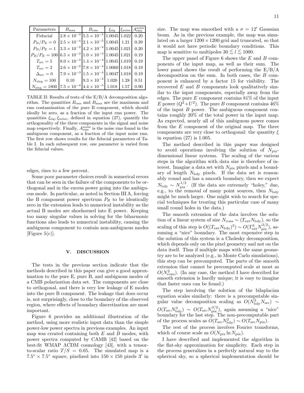| Parameters                                                                        | $B_{\rm max}$ | $B_{\rm rms}$ $\xi_{\rm sig}$ $\xi_{\rm noise}$ $A_{\rm rms}^{\rm noise}$      |  |      |
|-----------------------------------------------------------------------------------|---------------|--------------------------------------------------------------------------------|--|------|
| Fiducial                                                                          |               | $2.8 \times 10^{-3}$ $5.5 \times 10^{-5}$ 1.0045 1.022                         |  | 0.20 |
| $P_B/P_E=0$                                                                       |               | $\left 2.5 \times 10^{-4} \right  2.1 \times 10^{-5} \left 1.0045\right  1.21$ |  | 0.39 |
| $P_B/P_E=1$                                                                       |               | $3.3 \times 10^{-2}$ $4.2 \times 10^{-4}$ 1.0045 1.021                         |  | 0.20 |
| $P_B/P_E = 100  6.5 \times 10^{-2}  1.0 \times 10^{-3}   1.0045   1.021$          |               |                                                                                |  | 0.19 |
| $T_{\rm src} = 5$                                                                 |               | $8.0 \times 10^{-3}$ 1.4 $\times 10^{-4}$ 1.0045 1.019                         |  | 0.19 |
| $T_{\rm src}=2$                                                                   |               | $2.6 \times 10^{-2}$ 7.8 $\times 10^{-4}$ 1.0060 1.018                         |  | 0.19 |
| $\Delta_{\rm src}=0$                                                              |               | $ 7.9 \times 10^{-3}  1.5 \times 10^{-4}  1.0047  1.018 $                      |  | 0.19 |
| $N_{\rm sing}=100$                                                                | 0.10          | $9.3 \times 10^{-2}$ 1.020 1.28                                                |  | 0.51 |
| $N_{\text{sing}} = 1800   7.5 \times 10^{-4}   4.4 \times 10^{-5}   1.018   1.57$ |               |                                                                                |  | 0.90 |

TABLE II: Results of tests of the E/B/A decomposition algorithm. The quantities  $B_{\rm rms}$  and  $B_{\rm max}$  are the maximum and rms contamination of the pure B component, which should ideally be zero, as a fraction of the input rms power. The quantities  $\xi_{\text{sig}}$ ,  $\xi_{\text{noise}}$ , defined in equation (27), quantify the orthogonality of the three components in the signal and noise map respectively. Finally,  $A<sub>rms</sub><sup>noise</sup>$  is the noise rms found in the ambiguous component, as a fraction of the input noise rms. The first row shows results for the fiducial parameters of Table I. In each subsequent row, one parameter is varied from the fiducial values.

edges, rises to a few percent.

Some poor parameter choices result in numerical errors that can be seen in the failure of the components to be orthogonal and in the excess power going into the ambiguous mode. In particular, as noted in Section III A, forcing the B component power spectrum  $P_B$  to be identically zero in the extension leads to numerical instability as the actual B modes are shoehorned into E power. Keeping too many singular values in solving for the biharmonic functions also leads to numerical instability, causing the ambiguous component to contain non-ambiguous modes [Figure  $5(c)$ ].

#### V. DISCUSSION

The tests in the previous section indicate that the methods described in this paper can give a good approximation to the pure E, pure B, and ambiguous modes of a CMB polarization data set. The components are close to orthogonal, and there is very low leakage of E modes into the pure B component. The leakage that does occur is, not surprisingly, close to the boundary of the observed region, where effects of boundary discretization are most important.

Figure 6 provides an additional illustration of the method, using more realistic input data than the simple power-low power spectra in previous examples. An input map was created containing both  $E$  and  $B$  modes, with power spectra computed by CAMB [42] based on the best-fit WMAP ΛCDM cosmology [43], with a tensorto-scalar ratio  $T/S = 0.05$ . The simulated map is a  $7.5^{\circ} \times 7.5^{\circ}$  square, pixelized into  $150 \times 150$  pixels 3' in

size. The map was smoothed with a  $\sigma = 12'$  Gaussian beam. As in the previous example, the map was simulated on a larger  $1200 \times 1200$  grid and truncated, so that it would not have periodic boundary conditions. This map is sensitive to multipoles  $30 \lesssim l \lesssim 1000$ .

The upper panel of Figure 6 shows the  $E$  and  $B$  components of the input map, as well as their sum. The lower panel shows the result of performing the  $E/B/A$ decomposition on the sum. In both cases, the B component is enhanced by a factor 15 for visibility. The recovered  $E$  and  $B$  components look qualitatively similar to the input components, especially away from the edges. The pure  $E$  component contains  $81\%$  of the input E power  $(Q^2+U^2)$ . The pure B component contains 46% of the input  $B$  power. The ambiguous component contains roughly 20% of the total power in the input map. As expected, nearly all of this ambiguous power comes from the  $E$  component of the original map. The three components are very close to orthogonal: the quantity  $\xi$ in equation (27) is 1.005.

The method described in this paper was designed to avoid operations involving the solution of  $N_{\text{pix}}$ dimensional linear systems. The scaling of the various steps in the algorithm with data size is therefore of interest. Imagine a data set with  $N_{\text{pix}}$  pixels and a boundary of length  $N_{\text{bdy}}$  pixels. If the data set is reasonably round and has a smooth boundary, then we expect  $N_{\text{bdy}} \sim N_{\text{pix}}^{1/2}$ . (If the data are extremely "holey," due, e.g., to the removal of many point sources, then  $N_{\text{bdy}}$ might be much larger. One might wish to search for special techniques for treating this particular case of many small round holes in the data.)

The smooth extension of the data involves the solution of a linear system of size  $N_{\text{cons}} \sim (T_{\text{ext}}N_{\text{bdy}})$ , so the scaling of this step is  $O((T_{\text{ext}}N_{\text{bdy}})^3) \sim O(T_{\text{ext}}^3 N_{\text{pix}}^{3/2}),$  assuming a "nice" boundary. The most expensive step in the solution of this system is a Cholesky decomposition, which depends only on the pixel geometry and not on the data itself. Thus if multiple maps with the same geometry are to be analyzed (e.g., in Monte Carlo simulations), this step can be precomputed. The parts of the smooth extension that cannot be precomputed scale at most as  $O(N_{\text{cons}}^2)$ . (In any case, the method I have described for smooth extension is hardly unique; it is easy to imagine that faster ones can be found.)

The step involving the solution of the bilaplacian equation scales similarly: there is a precomputable singular value decomposition scaling as  $O(N_{\text{bdy}}^2 N_{\text{src}}) \sim$  $O(T_{\rm src} N_{\rm bdy}^3) \sim O(T_{\rm src} N_{\rm pix}^{3/2})$ , again assuming a "nice" boundary for the last step. The non-precomputable part of the process scales as  $O(T_{\rm src} N_{\rm bdy}^2) \sim O(T_{\rm src} N_{\rm pix}).$ 

The rest of the process involves Fourier transforms, which of course scale as  $O(N_{\text{pix}} \ln N_{\text{pix}})$ .

I have described and implemented the algorithm in the flat-sky approximation for simplicity. Each step in the process generalizes in a perfectly natural way to the spherical sky, so a spherical implementation should be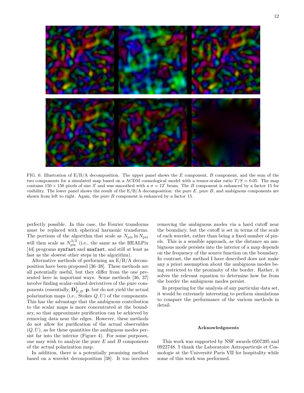

FIG. 6: Illustration of  $E/B/A$  decomposition. The upper panel shows the E component, B component, and the sum of the two components for a simulated map based on a  $\Lambda$ CDM cosmological model with a tensor-scalar ratio  $T/S = 0.05$ . The map contains  $150 \times 150$  pixels of size 3' and was smoothed with a  $\sigma = 12'$  beam. The B component is enhanced by a factor 15 for visibility. The lower panel shows the result of the  $E/B/A$  decomposition: the pure  $E$ , pure  $B$ , and ambiguous components are shown from left to right. Again, the pure  $B$  component is enhanced by a factor 15.

perfectly possible. In this case, the Fourier transforms must be replaced with spherical harmonic transforms. The portions of the algorithm that scale as  $N_{\text{pix}}\ln N_{\text{pix}}$ will then scale as  $N_{\rm pix}^{3/2}$  (i.e., the same as the HEALPix [44] programs synfast and anafast, and still at least as fast as the slowest other steps in the algorithm).

Alternative methods of performing an E/B/A decomposition have been proposed [36–38]. These methods are all potentially useful, but they differ from the one presented here in important ways. Some methods [36, 37] involve finding scalar-valued derivatives of the pure components (essentially,  $\mathbf{D}_{E,B}^{\dagger} \cdot \mathbf{p}$ , but do not yield the actual polarization maps (i.e., Stokes  $Q, U$ ) of the components. This has the advantage that the ambiguous contribution to the scalar maps is more concentrated at the boundary, so that approximate purification can be achieved by removing data near the edges. However, these methods do not allow for purification of the actual observables  $(Q, U)$ , as for these quantities the ambiguous modes persist far into the interior (Figure 4). For some purposes, one may wish to analyze the pure  $E$  and  $B$  components of the actual polarization map.

In addition, there is a potentially promising method based on a wavelet decomposition [38]. It too involves

removing the ambiguous modes via a hard cutoff near the boundary, but the cutoff is set in terms of the scale of each wavelet, rather than being a fixed number of pixels. This is a sensible approach, as the distance an ambiguous mode persists into the interior of a map depends on the frequency of the source function on the boundary. In contrast, the method I have described does not make any a priori assumption about the ambiguous modes being restricted to the proximity of the border. Rather, it solves the relevant equation to determine how far from the border the ambiguous modes persist.

In preparing for the analysis of any particular data set, it would be extremely interesting to perform simulations to compare the performance of the various methods in detail.

#### Acknowledgments

This work was supported by NSF awards 0507395 and 0922748. I thank the Laboratoire Astroparticule et Cosmologie at the Université Paris VII for hospitality while some of this work was performed.